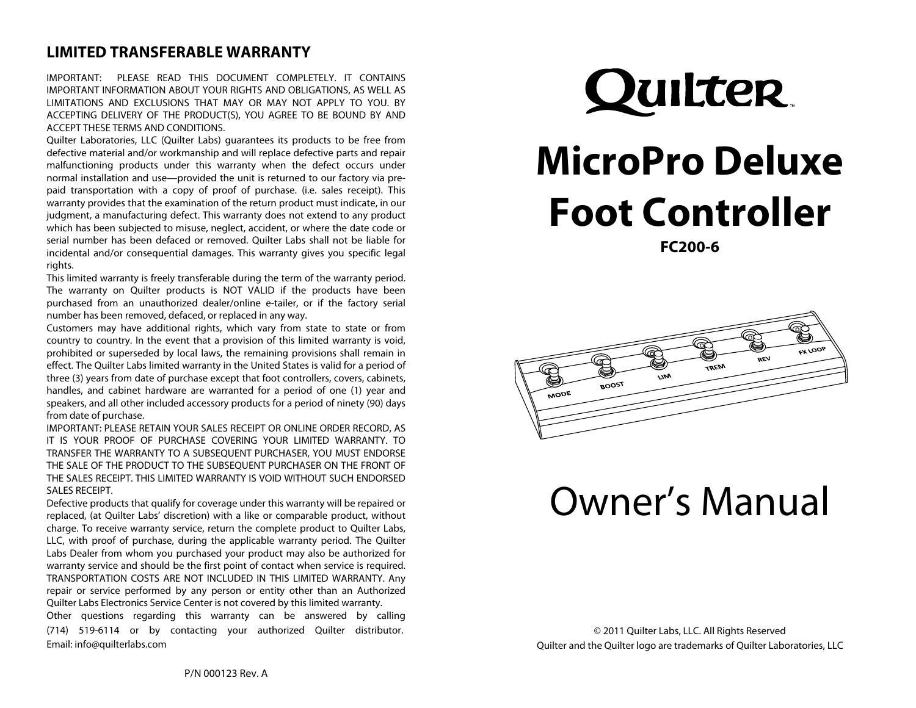### **LIMITED TRANSFERABLE WARRANTY**

IMPORTANT: PLEASE READ THIS DOCUMENT COMPLETELY. IT CONTAINS IMPORTANT INFORMATION ABOUT YOUR RIGHTS AND OBLIGATIONS, AS WELL AS LIMITATIONS AND EXCLUSIONS THAT MAY OR MAY NOT APPLY TO YOU. BY ACCEPTING DELIVERY OF THE PRODUCT(S), YOU AGREE TO BE BOUND BY AND ACCEPT THESE TERMS AND CONDITIONS.

Quilter Laboratories, LLC (Quilter Labs) guarantees its products to be free from defective material and/or workmanship and will replace defective parts and repair malfunctioning products under this warranty when the defect occurs under normal installation and use—provided the unit is returned to our factory via prepaid transportation with a copy of proof of purchase. (i.e. sales receipt). This warranty provides that the examination of the return product must indicate, in our judgment, a manufacturing defect. This warranty does not extend to any product which has been subjected to misuse, neglect, accident, or where the date code or serial number has been defaced or removed. Quilter Labs shall not be liable for incidental and/or consequential damages. This warranty gives you specific legal rights.

This limited warranty is freely transferable during the term of the warranty period. The warranty on Quilter products is NOT VALID if the products have been purchased from an unauthorized dealer/online e-tailer, or if the factory serial number has been removed, defaced, or replaced in any way.

Customers may have additional rights, which vary from state to state or from country to country. In the event that a provision of this limited warranty is void, prohibited or superseded by local laws, the remaining provisions shall remain in effect. The Quilter Labs limited warranty in the United States is valid for a period of three (3) years from date of purchase except that foot controllers, covers, cabinets, handles, and cabinet hardware are warranted for a period of one (1) year and speakers, and all other included accessory products for a period of ninety (90) days from date of purchase.

IMPORTANT: PLEASE RETAIN YOUR SALES RECEIPT OR ONLINE ORDER RECORD, AS IT IS YOUR PROOF OF PURCHASE COVERING YOUR LIMITED WARRANTY. TO TRANSFER THE WARRANTY TO A SUBSEQUENT PURCHASER, YOU MUST ENDORSE THE SALE OF THE PRODUCT TO THE SUBSEQUENT PURCHASER ON THE FRONT OF THE SALES RECEIPT. THIS LIMITED WARRANTY IS VOID WITHOUT SUCH ENDORSED SALES RECEIPT.

Defective products that qualify for coverage under this warranty will be repaired or replaced, (at Quilter Labs' discretion) with a like or comparable product, without charge. To receive warranty service, return the complete product to Quilter Labs, LLC, with proof of purchase, during the applicable warranty period. The Quilter Labs Dealer from whom you purchased your product may also be authorized for warranty service and should be the first point of contact when service is required. TRANSPORTATION COSTS ARE NOT INCLUDED IN THIS LIMITED WARRANTY. Any repair or service performed by any person or entity other than an Authorized Quilter Labs Electronics Service Center is not covered by this limited warranty.

Other questions regarding this warranty can be answered by calling (714) 519-6114 or by contacting your authorized Quilter distributor. Email: info@quilterlabs.com

# Quilter.

# **MicroPro Deluxe Foot Controller**

**FC200-6** 



# Owner's Manual